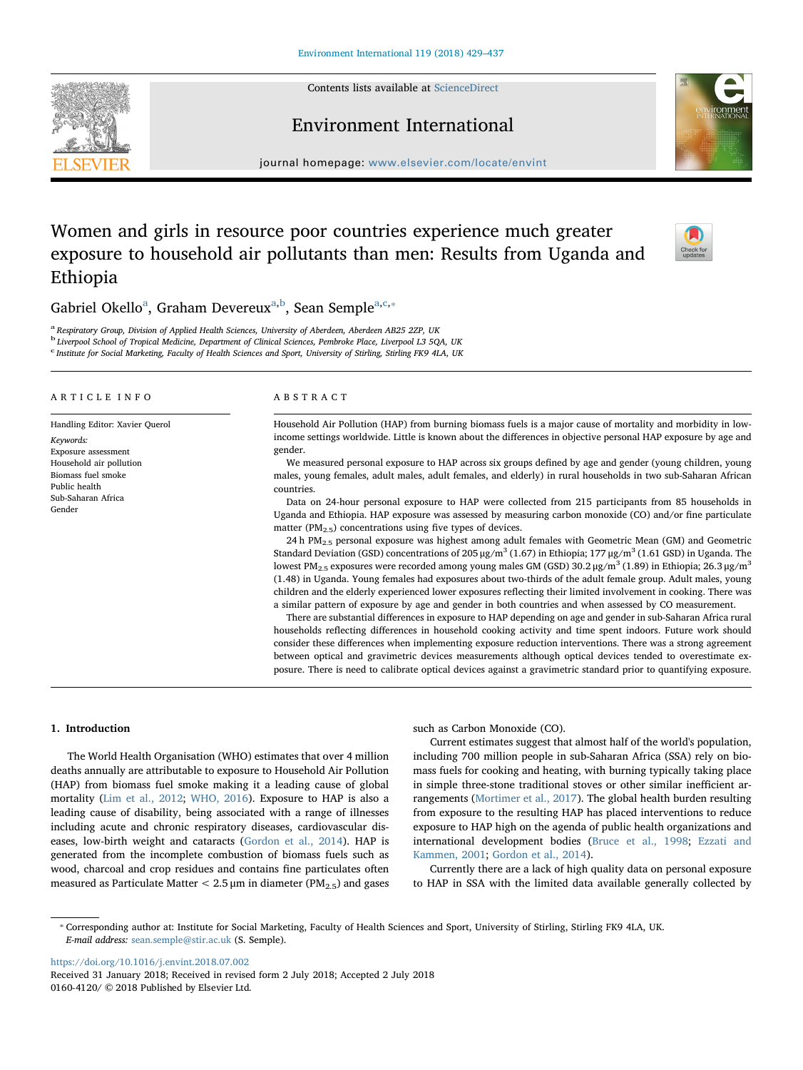Contents lists available at [ScienceDirect](http://www.sciencedirect.com/science/journal/01604120)





Environment International

journal homepage: [www.elsevier.com/locate/envint](https://www.elsevier.com/locate/envint)

# Women and girls in resource poor countries experience much greater exposure to household air pollutants than men: Results from Uganda and Ethiopia



G[a](#page-0-0)briel Okello<sup>a</sup>, Graham Devereux<sup>a[,b](#page-0-1)</sup>, Sean Semple<sup>[a,](#page-0-0)[c,](#page-0-2)</sup>\*

<span id="page-0-0"></span><sup>a</sup> Respiratory Group, Division of Applied Health Sciences, University of Aberdeen, Aberdeen AB25 2ZP, UK

<span id="page-0-1"></span><sup>b</sup> Liverpool School of Tropical Medicine, Department of Clinical Sciences, Pembroke Place, Liverpool L3 5QA, UK

<span id="page-0-2"></span><sup>c</sup> Institute for Social Marketing, Faculty of Health Sciences and Sport, University of Stirling, Stirling FK9 4LA, UK

#### ARTICLE INFO

Handling Editor: Xavier Querol Keywords: Exposure assessment Household air pollution Biomass fuel smoke Public health Sub-Saharan Africa Gender

#### ABSTRACT

Household Air Pollution (HAP) from burning biomass fuels is a major cause of mortality and morbidity in lowincome settings worldwide. Little is known about the differences in objective personal HAP exposure by age and gender.

We measured personal exposure to HAP across six groups defined by age and gender (young children, young males, young females, adult males, adult females, and elderly) in rural households in two sub-Saharan African countries.

Data on 24-hour personal exposure to HAP were collected from 215 participants from 85 households in Uganda and Ethiopia. HAP exposure was assessed by measuring carbon monoxide (CO) and/or fine particulate matter ( $PM_{2.5}$ ) concentrations using five types of devices.

24 h PM<sub>2.5</sub> personal exposure was highest among adult females with Geometric Mean (GM) and Geometric Standard Deviation (GSD) concentrations of 205 μg/m<sup>3</sup> (1.67) in Ethiopia; 177 μg/m<sup>3</sup> (1.61 GSD) in Uganda. The lowest PM<sub>2.5</sub> exposures were recorded among young males GM (GSD) 30.2 μg/m<sup>3</sup> (1.89) in Ethiopia; 26.3 μg/m<sup>3</sup> (1.48) in Uganda. Young females had exposures about two-thirds of the adult female group. Adult males, young children and the elderly experienced lower exposures reflecting their limited involvement in cooking. There was a similar pattern of exposure by age and gender in both countries and when assessed by CO measurement.

There are substantial differences in exposure to HAP depending on age and gender in sub-Saharan Africa rural households reflecting differences in household cooking activity and time spent indoors. Future work should consider these differences when implementing exposure reduction interventions. There was a strong agreement between optical and gravimetric devices measurements although optical devices tended to overestimate exposure. There is need to calibrate optical devices against a gravimetric standard prior to quantifying exposure.

# 1. Introduction

The World Health Organisation (WHO) estimates that over 4 million deaths annually are attributable to exposure to Household Air Pollution (HAP) from biomass fuel smoke making it a leading cause of global mortality ([Lim et al., 2012;](#page-8-0) [WHO, 2016](#page-8-1)). Exposure to HAP is also a leading cause of disability, being associated with a range of illnesses including acute and chronic respiratory diseases, cardiovascular diseases, low-birth weight and cataracts [\(Gordon et al., 2014](#page-8-2)). HAP is generated from the incomplete combustion of biomass fuels such as wood, charcoal and crop residues and contains fine particulates often measured as Particulate Matter  $< 2.5 \,\text{\mu m}$  in diameter (PM<sub>2.5</sub>) and gases such as Carbon Monoxide (CO).

Current estimates suggest that almost half of the world's population, including 700 million people in sub-Saharan Africa (SSA) rely on biomass fuels for cooking and heating, with burning typically taking place in simple three-stone traditional stoves or other similar inefficient arrangements ([Mortimer et al., 2017](#page-8-3)). The global health burden resulting from exposure to the resulting HAP has placed interventions to reduce exposure to HAP high on the agenda of public health organizations and international development bodies [\(Bruce et al., 1998;](#page-8-4) [Ezzati and](#page-8-5) [Kammen, 2001;](#page-8-5) [Gordon et al., 2014](#page-8-2)).

Currently there are a lack of high quality data on personal exposure to HAP in SSA with the limited data available generally collected by

<span id="page-0-3"></span>⁎ Corresponding author at: Institute for Social Marketing, Faculty of Health Sciences and Sport, University of Stirling, Stirling FK9 4LA, UK. E-mail address: [sean.semple@stir.ac.uk](mailto:sean.semple@stir.ac.uk) (S. Semple).

<https://doi.org/10.1016/j.envint.2018.07.002>

Received 31 January 2018; Received in revised form 2 July 2018; Accepted 2 July 2018 0160-4120/ © 2018 Published by Elsevier Ltd.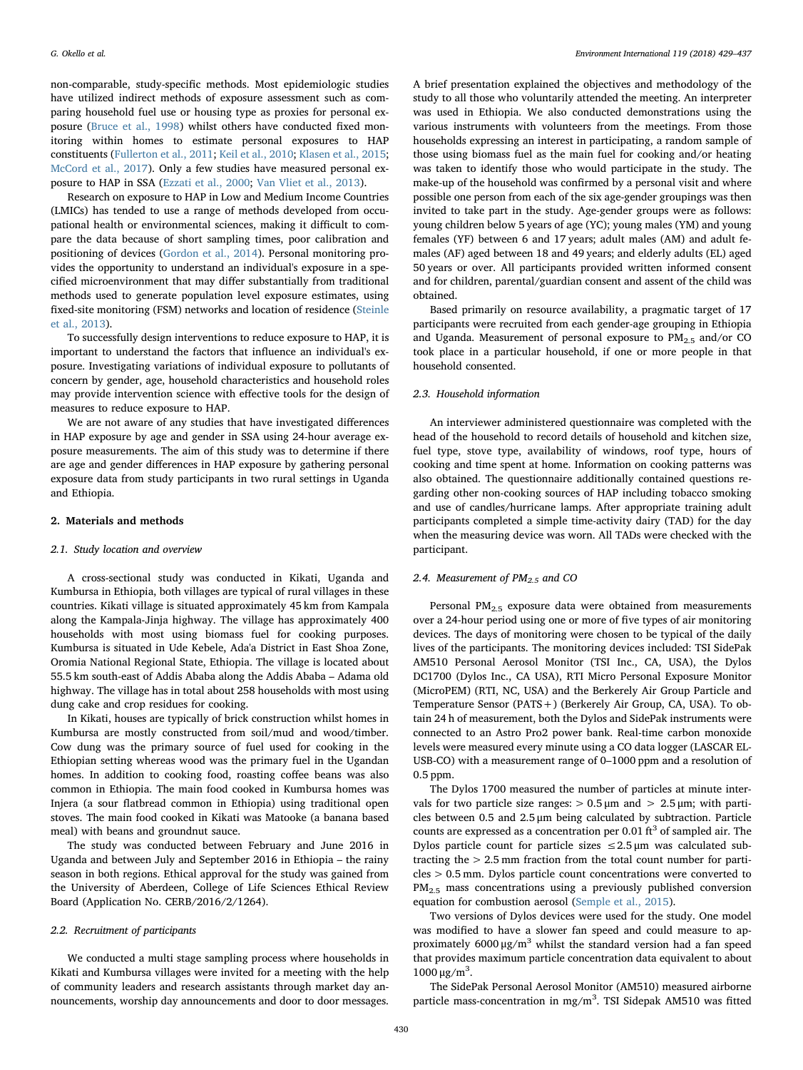non-comparable, study-specific methods. Most epidemiologic studies have utilized indirect methods of exposure assessment such as comparing household fuel use or housing type as proxies for personal exposure ([Bruce et al., 1998](#page-8-4)) whilst others have conducted fixed monitoring within homes to estimate personal exposures to HAP constituents ([Fullerton et al., 2011;](#page-8-6) [Keil et al., 2010;](#page-8-7) [Klasen et al., 2015](#page-8-8); [McCord et al., 2017\)](#page-8-9). Only a few studies have measured personal exposure to HAP in SSA ([Ezzati et al., 2000;](#page-8-10) [Van Vliet et al., 2013](#page-8-11)).

Research on exposure to HAP in Low and Medium Income Countries (LMICs) has tended to use a range of methods developed from occupational health or environmental sciences, making it difficult to compare the data because of short sampling times, poor calibration and positioning of devices [\(Gordon et al., 2014](#page-8-2)). Personal monitoring provides the opportunity to understand an individual's exposure in a specified microenvironment that may differ substantially from traditional methods used to generate population level exposure estimates, using fixed-site monitoring (FSM) networks and location of residence ([Steinle](#page-8-12) [et al., 2013](#page-8-12)).

To successfully design interventions to reduce exposure to HAP, it is important to understand the factors that influence an individual's exposure. Investigating variations of individual exposure to pollutants of concern by gender, age, household characteristics and household roles may provide intervention science with effective tools for the design of measures to reduce exposure to HAP.

We are not aware of any studies that have investigated differences in HAP exposure by age and gender in SSA using 24-hour average exposure measurements. The aim of this study was to determine if there are age and gender differences in HAP exposure by gathering personal exposure data from study participants in two rural settings in Uganda and Ethiopia.

# 2. Materials and methods

## 2.1. Study location and overview

A cross-sectional study was conducted in Kikati, Uganda and Kumbursa in Ethiopia, both villages are typical of rural villages in these countries. Kikati village is situated approximately 45 km from Kampala along the Kampala-Jinja highway. The village has approximately 400 households with most using biomass fuel for cooking purposes. Kumbursa is situated in Ude Kebele, Ada'a District in East Shoa Zone, Oromia National Regional State, Ethiopia. The village is located about 55.5 km south-east of Addis Ababa along the Addis Ababa – Adama old highway. The village has in total about 258 households with most using dung cake and crop residues for cooking.

In Kikati, houses are typically of brick construction whilst homes in Kumbursa are mostly constructed from soil/mud and wood/timber. Cow dung was the primary source of fuel used for cooking in the Ethiopian setting whereas wood was the primary fuel in the Ugandan homes. In addition to cooking food, roasting coffee beans was also common in Ethiopia. The main food cooked in Kumbursa homes was Injera (a sour flatbread common in Ethiopia) using traditional open stoves. The main food cooked in Kikati was Matooke (a banana based meal) with beans and groundnut sauce.

The study was conducted between February and June 2016 in Uganda and between July and September 2016 in Ethiopia – the rainy season in both regions. Ethical approval for the study was gained from the University of Aberdeen, College of Life Sciences Ethical Review Board (Application No. CERB/2016/2/1264).

#### 2.2. Recruitment of participants

We conducted a multi stage sampling process where households in Kikati and Kumbursa villages were invited for a meeting with the help of community leaders and research assistants through market day announcements, worship day announcements and door to door messages.

A brief presentation explained the objectives and methodology of the study to all those who voluntarily attended the meeting. An interpreter was used in Ethiopia. We also conducted demonstrations using the various instruments with volunteers from the meetings. From those households expressing an interest in participating, a random sample of those using biomass fuel as the main fuel for cooking and/or heating was taken to identify those who would participate in the study. The make-up of the household was confirmed by a personal visit and where possible one person from each of the six age-gender groupings was then invited to take part in the study. Age-gender groups were as follows: young children below 5 years of age (YC); young males (YM) and young females (YF) between 6 and 17 years; adult males (AM) and adult females (AF) aged between 18 and 49 years; and elderly adults (EL) aged 50 years or over. All participants provided written informed consent and for children, parental/guardian consent and assent of the child was obtained.

Based primarily on resource availability, a pragmatic target of 17 participants were recruited from each gender-age grouping in Ethiopia and Uganda. Measurement of personal exposure to  $PM_{2.5}$  and/or CO took place in a particular household, if one or more people in that household consented.

# 2.3. Household information

An interviewer administered questionnaire was completed with the head of the household to record details of household and kitchen size, fuel type, stove type, availability of windows, roof type, hours of cooking and time spent at home. Information on cooking patterns was also obtained. The questionnaire additionally contained questions regarding other non-cooking sources of HAP including tobacco smoking and use of candles/hurricane lamps. After appropriate training adult participants completed a simple time-activity dairy (TAD) for the day when the measuring device was worn. All TADs were checked with the participant.

## 2.4. Measurement of  $PM_{2.5}$  and CO

Personal  $PM_{2.5}$  exposure data were obtained from measurements over a 24-hour period using one or more of five types of air monitoring devices. The days of monitoring were chosen to be typical of the daily lives of the participants. The monitoring devices included: TSI SidePak AM510 Personal Aerosol Monitor (TSI Inc., CA, USA), the Dylos DC1700 (Dylos Inc., CA USA), RTI Micro Personal Exposure Monitor (MicroPEM) (RTI, NC, USA) and the Berkerely Air Group Particle and Temperature Sensor (PATS+) (Berkerely Air Group, CA, USA). To obtain 24 h of measurement, both the Dylos and SidePak instruments were connected to an Astro Pro2 power bank. Real-time carbon monoxide levels were measured every minute using a CO data logger (LASCAR EL-USB-CO) with a measurement range of 0–1000 ppm and a resolution of 0.5 ppm.

The Dylos 1700 measured the number of particles at minute intervals for two particle size ranges:  $> 0.5 \mu m$  and  $> 2.5 \mu m$ ; with particles between 0.5 and 2.5 μm being calculated by subtraction. Particle counts are expressed as a concentration per  $0.01 \text{ ft}^3$  of sampled air. The Dylos particle count for particle sizes  $\leq$ 2.5  $\mu$ m was calculated subtracting the > 2.5 mm fraction from the total count number for particles > 0.5 mm. Dylos particle count concentrations were converted to  $PM_{2.5}$  mass concentrations using a previously published conversion equation for combustion aerosol [\(Semple et al., 2015](#page-8-13)).

Two versions of Dylos devices were used for the study. One model was modified to have a slower fan speed and could measure to approximately 6000 μg/m<sup>3</sup> whilst the standard version had a fan speed that provides maximum particle concentration data equivalent to about  $1000 \mu g/m<sup>3</sup>$ .

The SidePak Personal Aerosol Monitor (AM510) measured airborne particle mass-concentration in mg/m<sup>3</sup>. TSI Sidepak AM510 was fitted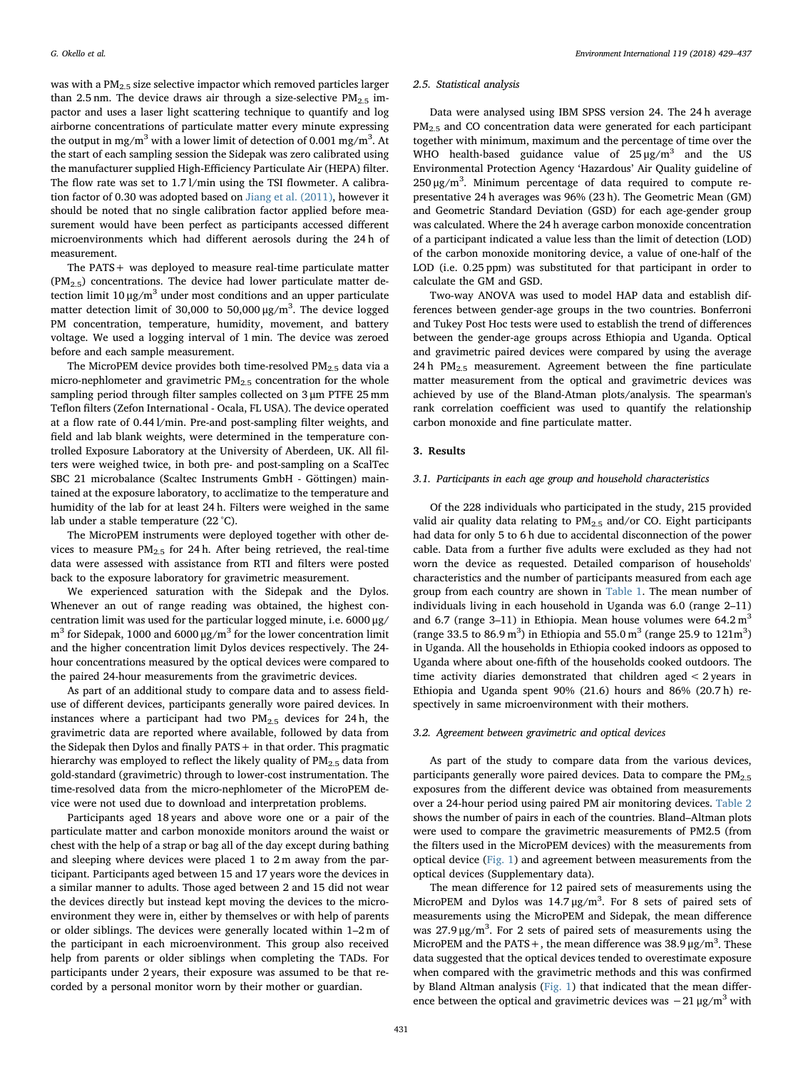was with a  $PM<sub>2.5</sub>$  size selective impactor which removed particles larger than 2.5 nm. The device draws air through a size-selective  $PM_{2.5}$  impactor and uses a laser light scattering technique to quantify and log airborne concentrations of particulate matter every minute expressing the output in mg/m $^3$  with a lower limit of detection of 0.001 mg/m $^3$ . At the start of each sampling session the Sidepak was zero calibrated using the manufacturer supplied High-Efficiency Particulate Air (HEPA) filter. The flow rate was set to 1.7 l/min using the TSI flowmeter. A calibration factor of 0.30 was adopted based on [Jiang et al. \(2011\),](#page-8-14) however it should be noted that no single calibration factor applied before measurement would have been perfect as participants accessed different microenvironments which had different aerosols during the 24 h of measurement.

The PATS + was deployed to measure real-time particulate matter  $(PM_{2.5})$  concentrations. The device had lower particulate matter detection limit 10 μg/m<sup>3</sup> under most conditions and an upper particulate matter detection limit of 30,000 to 50,000  $\mu$ g/m $^3$ . The device logged PM concentration, temperature, humidity, movement, and battery voltage. We used a logging interval of 1 min. The device was zeroed before and each sample measurement.

The MicroPEM device provides both time-resolved  $PM<sub>2.5</sub>$  data via a micro-nephlometer and gravimetric PM<sub>2.5</sub> concentration for the whole sampling period through filter samples collected on 3 μm PTFE 25 mm Teflon filters (Zefon International - Ocala, FL USA). The device operated at a flow rate of 0.44 l/min. Pre-and post-sampling filter weights, and field and lab blank weights, were determined in the temperature controlled Exposure Laboratory at the University of Aberdeen, UK. All filters were weighed twice, in both pre- and post-sampling on a ScalTec SBC 21 microbalance (Scaltec Instruments GmbH - Göttingen) maintained at the exposure laboratory, to acclimatize to the temperature and humidity of the lab for at least 24 h. Filters were weighed in the same lab under a stable temperature (22 °C).

The MicroPEM instruments were deployed together with other devices to measure  $PM_{2.5}$  for 24 h. After being retrieved, the real-time data were assessed with assistance from RTI and filters were posted back to the exposure laboratory for gravimetric measurement.

We experienced saturation with the Sidepak and the Dylos. Whenever an out of range reading was obtained, the highest concentration limit was used for the particular logged minute, i.e. 6000 μg/  $m<sup>3</sup>$  for Sidepak, 1000 and 6000 μg/m<sup>3</sup> for the lower concentration limit and the higher concentration limit Dylos devices respectively. The 24 hour concentrations measured by the optical devices were compared to the paired 24-hour measurements from the gravimetric devices.

As part of an additional study to compare data and to assess fielduse of different devices, participants generally wore paired devices. In instances where a participant had two  $PM_{2.5}$  devices for 24 h, the gravimetric data are reported where available, followed by data from the Sidepak then Dylos and finally  $PATS + in$  that order. This pragmatic hierarchy was employed to reflect the likely quality of  $PM_{2.5}$  data from gold-standard (gravimetric) through to lower-cost instrumentation. The time-resolved data from the micro-nephlometer of the MicroPEM device were not used due to download and interpretation problems.

Participants aged 18 years and above wore one or a pair of the particulate matter and carbon monoxide monitors around the waist or chest with the help of a strap or bag all of the day except during bathing and sleeping where devices were placed 1 to 2 m away from the participant. Participants aged between 15 and 17 years wore the devices in a similar manner to adults. Those aged between 2 and 15 did not wear the devices directly but instead kept moving the devices to the microenvironment they were in, either by themselves or with help of parents or older siblings. The devices were generally located within 1–2 m of the participant in each microenvironment. This group also received help from parents or older siblings when completing the TADs. For participants under 2 years, their exposure was assumed to be that recorded by a personal monitor worn by their mother or guardian.

#### 2.5. Statistical analysis

Data were analysed using IBM SPSS version 24. The 24 h average PM<sub>2.5</sub> and CO concentration data were generated for each participant together with minimum, maximum and the percentage of time over the WHO health-based guidance value of  $25 \mu g/m^3$  and the US Environmental Protection Agency 'Hazardous' Air Quality guideline of  $250 \,\mathrm{\upmu g/m^3}$ . Minimum percentage of data required to compute representative 24 h averages was 96% (23 h). The Geometric Mean (GM) and Geometric Standard Deviation (GSD) for each age-gender group was calculated. Where the 24 h average carbon monoxide concentration of a participant indicated a value less than the limit of detection (LOD) of the carbon monoxide monitoring device, a value of one-half of the LOD (i.e. 0.25 ppm) was substituted for that participant in order to calculate the GM and GSD.

Two-way ANOVA was used to model HAP data and establish differences between gender-age groups in the two countries. Bonferroni and Tukey Post Hoc tests were used to establish the trend of differences between the gender-age groups across Ethiopia and Uganda. Optical and gravimetric paired devices were compared by using the average 24 h  $PM<sub>2.5</sub>$  measurement. Agreement between the fine particulate matter measurement from the optical and gravimetric devices was achieved by use of the Bland-Atman plots/analysis. The spearman's rank correlation coefficient was used to quantify the relationship carbon monoxide and fine particulate matter.

#### 3. Results

#### 3.1. Participants in each age group and household characteristics

Of the 228 individuals who participated in the study, 215 provided valid air quality data relating to  $PM_{2.5}$  and/or CO. Eight participants had data for only 5 to 6 h due to accidental disconnection of the power cable. Data from a further five adults were excluded as they had not worn the device as requested. Detailed comparison of households' characteristics and the number of participants measured from each age group from each country are shown in [Table 1.](#page-3-0) The mean number of individuals living in each household in Uganda was 6.0 (range 2–11) and 6.7 (range 3–11) in Ethiopia. Mean house volumes were  $64.2 \text{ m}^3$ (range 33.5 to 86.9 m<sup>3</sup>) in Ethiopia and 55.0 m<sup>3</sup> (range 25.9 to 121m<sup>3</sup>) in Uganda. All the households in Ethiopia cooked indoors as opposed to Uganda where about one-fifth of the households cooked outdoors. The time activity diaries demonstrated that children aged < 2 years in Ethiopia and Uganda spent 90% (21.6) hours and 86% (20.7 h) respectively in same microenvironment with their mothers.

#### 3.2. Agreement between gravimetric and optical devices

As part of the study to compare data from the various devices, participants generally wore paired devices. Data to compare the PM<sub>2.5</sub> exposures from the different device was obtained from measurements over a 24-hour period using paired PM air monitoring devices. [Table 2](#page-3-1) shows the number of pairs in each of the countries. Bland–Altman plots were used to compare the gravimetric measurements of PM2.5 (from the filters used in the MicroPEM devices) with the measurements from optical device [\(Fig. 1](#page-4-0)) and agreement between measurements from the optical devices (Supplementary data).

The mean difference for 12 paired sets of measurements using the MicroPEM and Dylos was  $14.7 \mu g/m^3$ . For 8 sets of paired sets of measurements using the MicroPEM and Sidepak, the mean difference was  $27.9 \,\mathrm{\upmu g/m^3}$ . For 2 sets of paired sets of measurements using the MicroPEM and the PATS +, the mean difference was  $38.9 \,\mu g/m^3$ . These data suggested that the optical devices tended to overestimate exposure when compared with the gravimetric methods and this was confirmed by Bland Altman analysis ([Fig. 1](#page-4-0)) that indicated that the mean difference between the optical and gravimetric devices was  $-21 \mu g/m^3$  with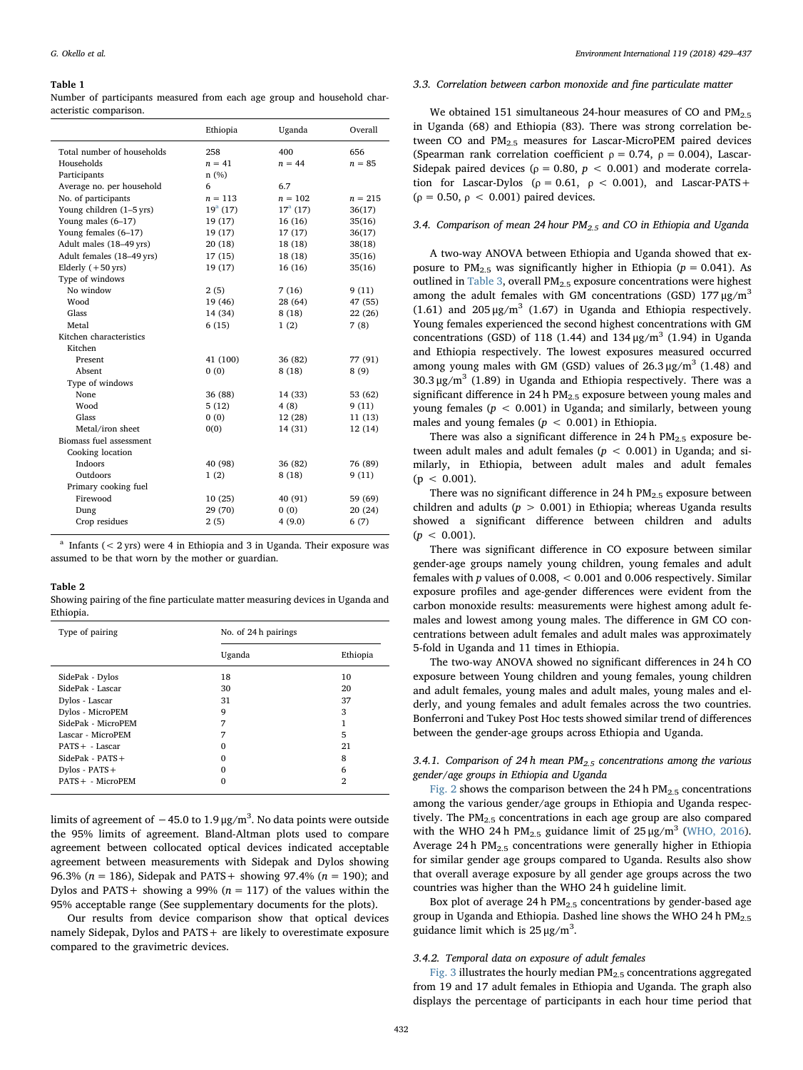#### <span id="page-3-0"></span>Table 1

Number of participants measured from each age group and household characteristic comparison.

|                            | Ethiopia   | Uganda     | Overall   |
|----------------------------|------------|------------|-----------|
| Total number of households | 258        | 400        | 656       |
| Households                 | $n = 41$   | $n = 44$   | $n = 85$  |
| Participants               | n(%)       |            |           |
| Average no. per household  | 6          | 6.7        |           |
| No. of participants        | $n = 113$  | $n = 102$  | $n = 215$ |
| Young children (1-5 yrs)   | $19a$ (17) | $17a$ (17) | 36(17)    |
| Young males $(6-17)$       | 19 (17)    | 16(16)     | 35(16)    |
| Young females $(6-17)$     | 19 (17)    | 17(17)     | 36(17)    |
| Adult males (18-49 yrs)    | 20(18)     | 18 (18)    | 38(18)    |
| Adult females (18-49 yrs)  | 17(15)     | 18 (18)    | 35(16)    |
| Elderly $(+50$ yrs)        | 19 (17)    | 16(16)     | 35(16)    |
| Type of windows            |            |            |           |
| No window                  | 2(5)       | 7(16)      | 9(11)     |
| Wood                       | 19 (46)    | 28 (64)    | 47 (55)   |
| Glass                      | 14 (34)    | 8(18)      | 22 (26)   |
| Metal                      | 6(15)      | 1(2)       | 7(8)      |
| Kitchen characteristics    |            |            |           |
| Kitchen                    |            |            |           |
| Present                    | 41 (100)   | 36 (82)    | 77 (91)   |
| Absent                     | 0(0)       | 8(18)      | 8(9)      |
| Type of windows            |            |            |           |
| <b>None</b>                | 36 (88)    | 14 (33)    | 53 (62)   |
| Wood                       | 5(12)      | 4(8)       | 9 (11)    |
| Glass                      | 0(0)       | 12 (28)    | 11(13)    |
| Metal/iron sheet           | 0(0)       | 14 (31)    | 12 (14)   |
| Biomass fuel assessment    |            |            |           |
| Cooking location           |            |            |           |
| <b>Indoors</b>             | 40 (98)    | 36 (82)    | 76 (89)   |
| Outdoors                   | 1(2)       | 8(18)      | 9(11)     |
| Primary cooking fuel       |            |            |           |
| Firewood                   | 10(25)     | 40 (91)    | 59 (69)   |
| Dung                       | 29 (70)    | 0(0)       | 20(24)    |
| Crop residues              | 2(5)       | 4(9.0)     | 6(7)      |
|                            |            |            |           |

<span id="page-3-2"></span><sup>a</sup> Infants ( $\lt 2$  yrs) were 4 in Ethiopia and 3 in Uganda. Their exposure was assumed to be that worn by the mother or guardian.

#### <span id="page-3-1"></span>Table 2

Showing pairing of the fine particulate matter measuring devices in Uganda and Ethiopia.

| Type of pairing      | No. of 24 h pairings |          |
|----------------------|----------------------|----------|
|                      | Uganda               | Ethiopia |
| SidePak - Dylos      | 18                   | 10       |
| SidePak - Lascar     | 30                   | 20       |
| Dylos - Lascar       | 31                   | 37       |
| Dylos - MicroPEM     | 9                    | 3        |
| SidePak - MicroPEM   | 7                    | 1        |
| Lascar - MicroPEM    | 7                    | 5        |
| $PATS + -Lascar$     | $\Omega$             | 21       |
| $SidePack - PARTS +$ | 0                    | 8        |
| Dylos - PATS +       | 0                    | 6        |
| $PATS + - MicroPEM$  | 0                    | 2        |

limits of agreement of  $-$  45.0 to 1.9 µg/m $^3$ . No data points were outside the 95% limits of agreement. Bland-Altman plots used to compare agreement between collocated optical devices indicated acceptable agreement between measurements with Sidepak and Dylos showing 96.3% ( $n = 186$ ), Sidepak and PATS + showing 97.4% ( $n = 190$ ); and Dylos and PATS + showing a 99% ( $n = 117$ ) of the values within the 95% acceptable range (See supplementary documents for the plots).

Our results from device comparison show that optical devices namely Sidepak, Dylos and PATS+ are likely to overestimate exposure compared to the gravimetric devices.

#### 3.3. Correlation between carbon monoxide and fine particulate matter

We obtained 151 simultaneous 24-hour measures of CO and  $PM_{2.5}$ in Uganda (68) and Ethiopia (83). There was strong correlation between CO and  $PM<sub>2.5</sub>$  measures for Lascar-MicroPEM paired devices (Spearman rank correlation coefficient  $ρ = 0.74$ ,  $ρ = 0.004$ ), Lascar-Sidepak paired devices ( $p = 0.80$ ,  $p < 0.001$ ) and moderate correlation for Lascar-Dylos ( $\rho = 0.61$ ,  $\rho < 0.001$ ), and Lascar-PATS + ( $\rho = 0.50$ ,  $\rho < 0.001$ ) paired devices.

## 3.4. Comparison of mean 24 hour  $PM_{2.5}$  and CO in Ethiopia and Uganda

A two-way ANOVA between Ethiopia and Uganda showed that exposure to  $PM_{2.5}$  was significantly higher in Ethiopia ( $p = 0.041$ ). As outlined in [Table 3,](#page-4-1) overall  $PM<sub>2.5</sub>$  exposure concentrations were highest among the adult females with GM concentrations (GSD)  $177 \mu g/m^3$ (1.61) and  $205 \mu g/m^3$  (1.67) in Uganda and Ethiopia respectively. Young females experienced the second highest concentrations with GM concentrations (GSD) of 118 (1.44) and  $134 \mu g/m^3$  (1.94) in Uganda and Ethiopia respectively. The lowest exposures measured occurred among young males with GM (GSD) values of  $26.3 \mu g/m^3$  (1.48) and  $30.3 \,\mathrm{\upmu g/m^3}$  (1.89) in Uganda and Ethiopia respectively. There was a significant difference in 24 h  $PM_{2.5}$  exposure between young males and young females ( $p < 0.001$ ) in Uganda; and similarly, between young males and young females ( $p < 0.001$ ) in Ethiopia.

There was also a significant difference in 24 h  $PM_{2.5}$  exposure between adult males and adult females ( $p < 0.001$ ) in Uganda; and similarly, in Ethiopia, between adult males and adult females  $(p < 0.001)$ .

There was no significant difference in 24 h  $PM<sub>2.5</sub>$  exposure between children and adults ( $p > 0.001$ ) in Ethiopia; whereas Uganda results showed a significant difference between children and adults  $(p < 0.001)$ .

There was significant difference in CO exposure between similar gender-age groups namely young children, young females and adult females with  $p$  values of  $0.008$ ,  $< 0.001$  and  $0.006$  respectively. Similar exposure profiles and age-gender differences were evident from the carbon monoxide results: measurements were highest among adult females and lowest among young males. The difference in GM CO concentrations between adult females and adult males was approximately 5-fold in Uganda and 11 times in Ethiopia.

The two-way ANOVA showed no significant differences in 24 h CO exposure between Young children and young females, young children and adult females, young males and adult males, young males and elderly, and young females and adult females across the two countries. Bonferroni and Tukey Post Hoc tests showed similar trend of differences between the gender-age groups across Ethiopia and Uganda.

# 3.4.1. Comparison of 24 h mean  $PM_{2.5}$  concentrations among the various gender/age groups in Ethiopia and Uganda

[Fig. 2](#page-4-2) shows the comparison between the 24 h  $\text{PM}_{2.5}$  concentrations among the various gender/age groups in Ethiopia and Uganda respectively. The  $PM_{2.5}$  concentrations in each age group are also compared with the WHO 24 h PM<sub>2.5</sub> guidance limit of  $25 \mu g/m^3$  ([WHO, 2016](#page-8-1)). Average 24 h  $PM<sub>2.5</sub>$  concentrations were generally higher in Ethiopia for similar gender age groups compared to Uganda. Results also show that overall average exposure by all gender age groups across the two countries was higher than the WHO 24 h guideline limit.

Box plot of average 24 h  $PM<sub>2.5</sub>$  concentrations by gender-based age group in Uganda and Ethiopia. Dashed line shows the WHO 24 h  $PM_{2.5}$ guidance limit which is  $25 \mu g/m^3$ .

### 3.4.2. Temporal data on exposure of adult females

[Fig. 3](#page-5-0) illustrates the hourly median  $PM_{2.5}$  concentrations aggregated from 19 and 17 adult females in Ethiopia and Uganda. The graph also displays the percentage of participants in each hour time period that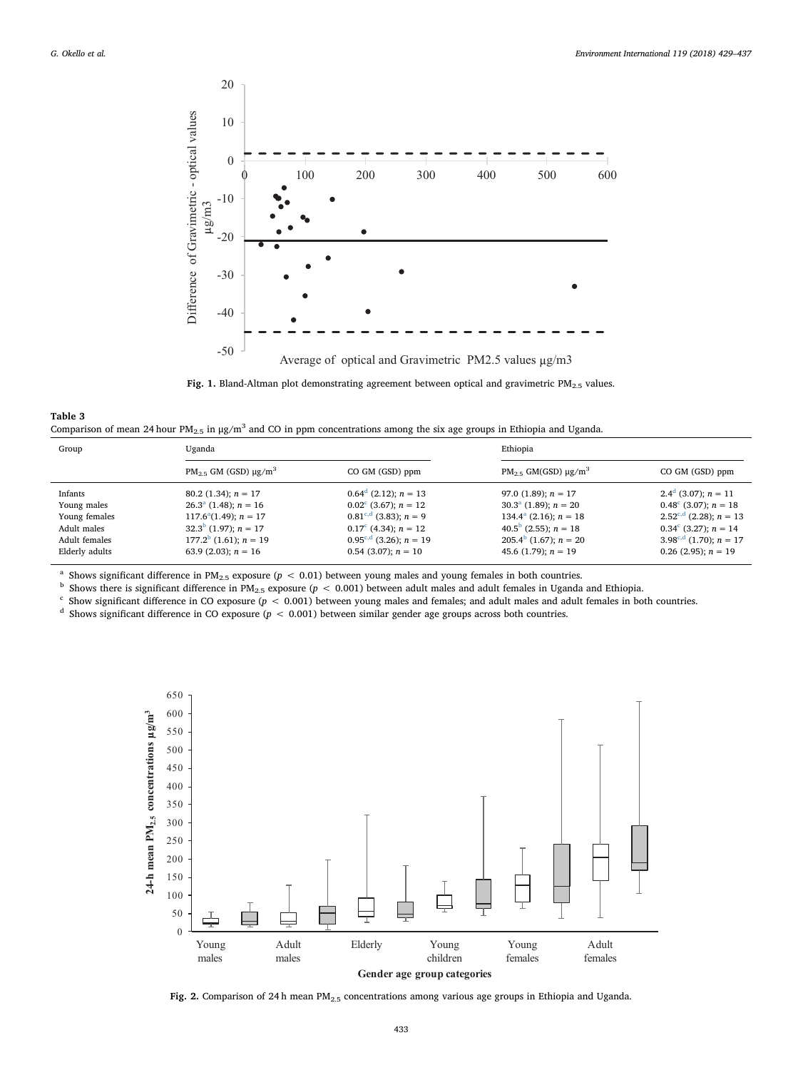<span id="page-4-0"></span>

Fig. 1. Bland-Altman plot demonstrating agreement between optical and gravimetric  $PM_{2.5}$  values.

<span id="page-4-1"></span>

| Table 3                                                                                                                                              |  |  |
|------------------------------------------------------------------------------------------------------------------------------------------------------|--|--|
| Comparison of mean 24 hour PM <sub>2.5</sub> in $\mu$ g/m <sup>3</sup> and CO in ppm concentrations among the six age groups in Ethiopia and Uganda. |  |  |

| Group                                                                                     | Uganda                                                                                                                                                                       |                                                                                                                                                                                              | Ethiopia                                                                                                                                                                                     |                                                                                                                                                                                                    |
|-------------------------------------------------------------------------------------------|------------------------------------------------------------------------------------------------------------------------------------------------------------------------------|----------------------------------------------------------------------------------------------------------------------------------------------------------------------------------------------|----------------------------------------------------------------------------------------------------------------------------------------------------------------------------------------------|----------------------------------------------------------------------------------------------------------------------------------------------------------------------------------------------------|
|                                                                                           | $PM_2$ <sub>5</sub> GM (GSD) $\mu$ g/m <sup>3</sup>                                                                                                                          | CO GM (GSD) ppm                                                                                                                                                                              | $PM_2$ <sub>5</sub> GM(GSD) $\mu$ g/m <sup>3</sup>                                                                                                                                           | CO GM (GSD) ppm                                                                                                                                                                                    |
| Infants<br>Young males<br>Young females<br>Adult males<br>Adult females<br>Elderly adults | 80.2 $(1.34)$ ; $n = 17$<br>$26.3a$ (1.48); $n = 16$<br>$117.6^{\circ}(1.49)$ ; $n = 17$<br>$32.3^b$ (1.97); $n = 17$<br>$177.2^b$ (1.61); $n = 19$<br>63.9 (2.03); $n = 16$ | $0.64^d$ (2.12); $n = 13$<br>$0.02^c$ (3.67); $n = 12$<br>$0.81^{c,d}$ (3.83); $n = 9$<br>$0.17^{\circ}$ (4.34); $n = 12$<br>$0.95^{\text{c,d}}$ (3.26); $n = 19$<br>$0.54$ (3.07); $n = 10$ | 97.0 $(1.89)$ ; $n = 17$<br>$30.3^a$ (1.89); $n = 20$<br>134.4 <sup>a</sup> (2.16); $n = 18$<br>40.5 <sup>b</sup> (2.55); $n = 18$<br>$205.4^b$ (1.67); $n = 20$<br>45.6 $(1.79)$ ; $n = 19$ | $2.4^d$ (3.07); $n = 11$<br>$0.48^{\circ}$ (3.07); $n = 18$<br>$2.52^{c,d}$ (2.28); $n = 13$<br>$0.34^{\circ}$ (3.27); $n = 14$<br>$3.98^{\text{c,d}}$ (1.70): $n = 17$<br>$0.26$ (2.95); $n = 19$ |

<span id="page-4-6"></span><span id="page-4-5"></span>

<span id="page-4-4"></span><sup>a</sup> Shows significant difference in PM<sub>2.5</sub> exposure ( $p < 0.01$ ) between young males and young females in both countries.<br><sup>b</sup> Shows there is significant difference in PM<sub>2.5</sub> exposure ( $p < 0.001$ ) between adult males and

<span id="page-4-3"></span><sup>d</sup> Shows significant difference in CO exposure ( $p < 0.001$ ) between similar gender age groups across both countries.

<span id="page-4-2"></span>

Fig. 2. Comparison of 24 h mean PM<sub>2.5</sub> concentrations among various age groups in Ethiopia and Uganda.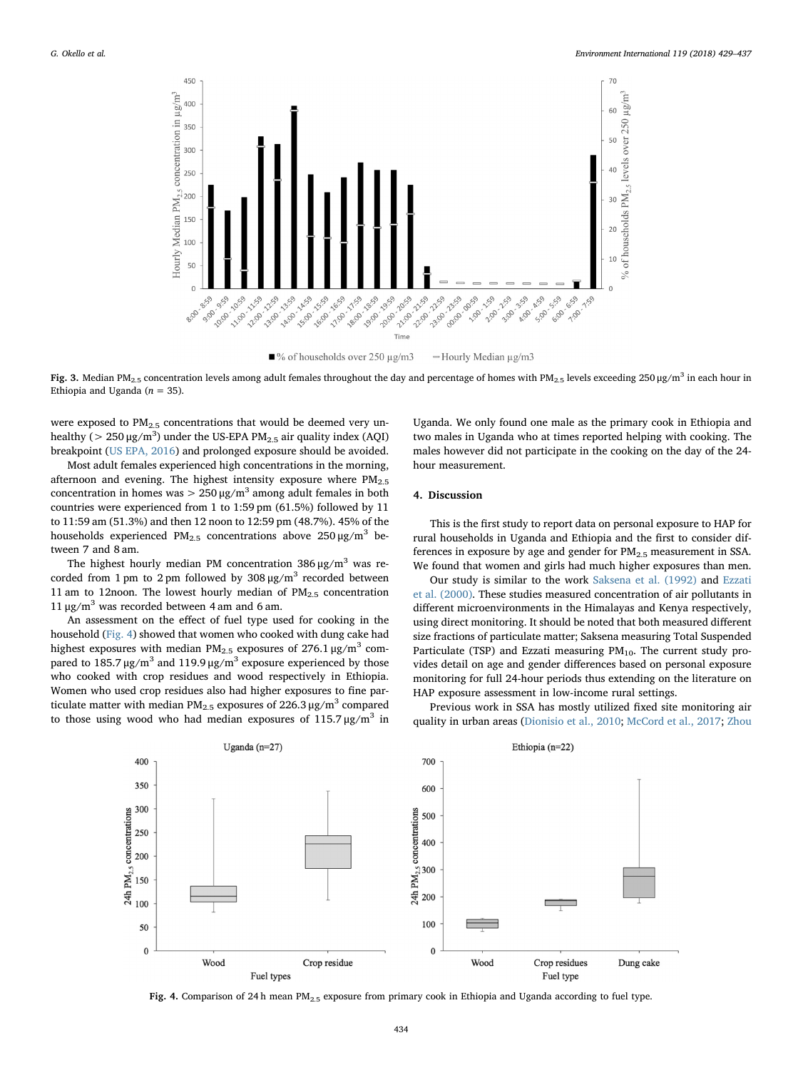<span id="page-5-0"></span>

Fig. 3. Median PM<sub>2.5</sub> concentration levels among adult females throughout the day and percentage of homes with PM<sub>2.5</sub> levels exceeding 250 µg/m<sup>3</sup> in each hour in Ethiopia and Uganda  $(n = 35)$ .

were exposed to  $PM_{2.5}$  concentrations that would be deemed very unhealthy ( $> 250 \,\mathrm{\mu g/m^3}$ ) under the US-EPA PM<sub>2.5</sub> air quality index (AQI) breakpoint ([US EPA, 2016](#page-8-15)) and prolonged exposure should be avoided.

Most adult females experienced high concentrations in the morning, afternoon and evening. The highest intensity exposure where  $PM_{2.5}$ concentration in homes was  $> 250 \,\mathrm{\mu g/m^3}$  among adult females in both countries were experienced from 1 to 1:59 pm (61.5%) followed by 11 to 11:59 am (51.3%) and then 12 noon to 12:59 pm (48.7%). 45% of the households experienced PM<sub>2.5</sub> concentrations above 250  $\mu$ g/m<sup>3</sup> between 7 and 8 am.

The highest hourly median PM concentration  $386 \mu g/m^3$  was recorded from 1 pm to 2 pm followed by  $308 \mu g/m^3$  recorded between 11 am to 12noon. The lowest hourly median of  $PM<sub>2.5</sub>$  concentration 11 μg/m<sup>3</sup> was recorded between 4 am and 6 am.

An assessment on the effect of fuel type used for cooking in the household ([Fig. 4](#page-5-1)) showed that women who cooked with dung cake had highest exposures with median  $PM_{2.5}$  exposures of 276.1  $\mu$ g/m<sup>3</sup> compared to 185.7 μg/m<sup>3</sup> and 119.9 μg/m<sup>3</sup> exposure experienced by those who cooked with crop residues and wood respectively in Ethiopia. Women who used crop residues also had higher exposures to fine particulate matter with median PM<sub>2.5</sub> exposures of 226.3 μg/m<sup>3</sup> compared to those using wood who had median exposures of  $115.7 \,\mu g/m^3$  in

Uganda. We only found one male as the primary cook in Ethiopia and two males in Uganda who at times reported helping with cooking. The males however did not participate in the cooking on the day of the 24 hour measurement.

# 4. Discussion

This is the first study to report data on personal exposure to HAP for rural households in Uganda and Ethiopia and the first to consider differences in exposure by age and gender for  $PM_{2.5}$  measurement in SSA. We found that women and girls had much higher exposures than men.

Our study is similar to the work [Saksena et al. \(1992\)](#page-8-16) and [Ezzati](#page-8-10) [et al. \(2000\).](#page-8-10) These studies measured concentration of air pollutants in different microenvironments in the Himalayas and Kenya respectively, using direct monitoring. It should be noted that both measured different size fractions of particulate matter; Saksena measuring Total Suspended Particulate (TSP) and Ezzati measuring  $PM<sub>10</sub>$ . The current study provides detail on age and gender differences based on personal exposure monitoring for full 24-hour periods thus extending on the literature on HAP exposure assessment in low-income rural settings.

Previous work in SSA has mostly utilized fixed site monitoring air quality in urban areas [\(Dionisio et al., 2010;](#page-8-17) [McCord et al., 2017](#page-8-9); [Zhou](#page-8-18)

<span id="page-5-1"></span>

Fig. 4. Comparison of 24 h mean PM<sub>2.5</sub> exposure from primary cook in Ethiopia and Uganda according to fuel type.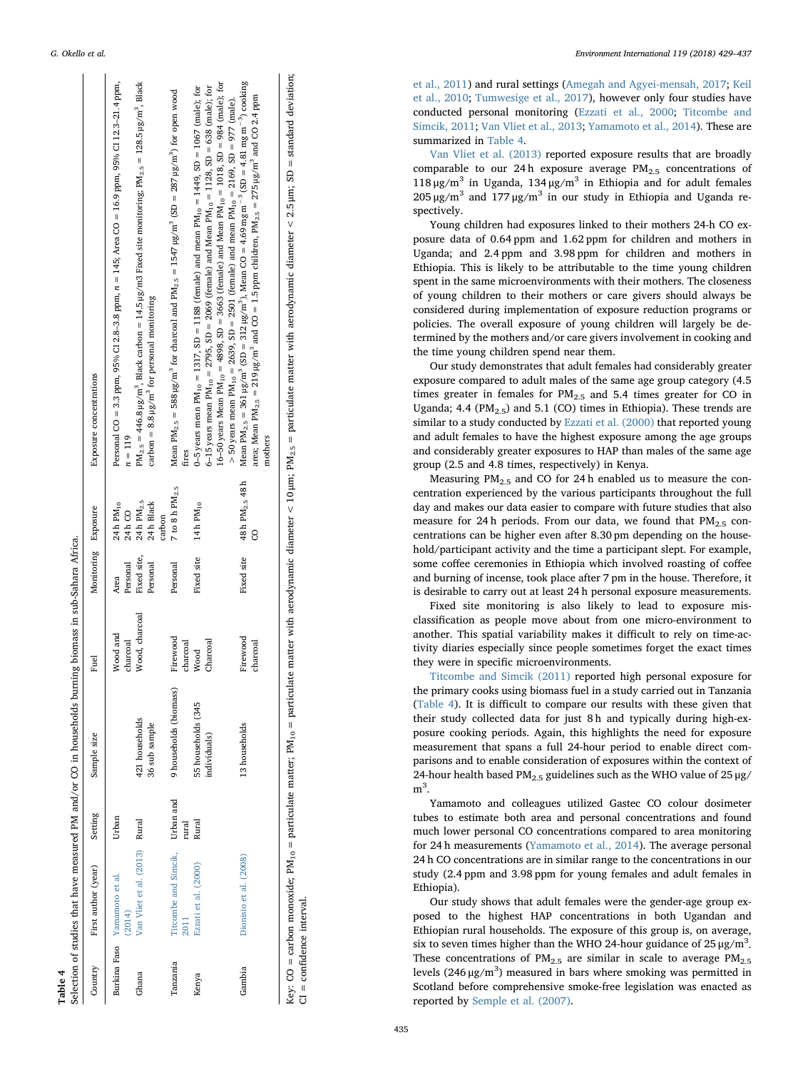<span id="page-6-0"></span>

|          |                                        |         | Selection of studies that have measured PM and/or CO in households burning biomass in sub-Sahara Africa. |                      |                         |                                                |                                                                                                                                                                                                                                                                                                                                                                                                                                                                                   |
|----------|----------------------------------------|---------|----------------------------------------------------------------------------------------------------------|----------------------|-------------------------|------------------------------------------------|-----------------------------------------------------------------------------------------------------------------------------------------------------------------------------------------------------------------------------------------------------------------------------------------------------------------------------------------------------------------------------------------------------------------------------------------------------------------------------------|
| Country  | First author (year)                    | Setting | Sample size                                                                                              | Fuel                 | Monitoring Exposure     |                                                | Exposure concentrations                                                                                                                                                                                                                                                                                                                                                                                                                                                           |
|          | Burkina Faso Yamamoto et al.<br>(2014) | Urban   |                                                                                                          | Wood and<br>charcoal | Personal<br>Area        | 24h PM <sub>10</sub><br>24h CO                 | Personal CO = 3.3 ppm, 95% Cl 2.8-3.8 ppm, n = 145; Area CO = 16.9 ppm, 95% Cl 12.3-21.4 ppm,<br>$n = 119$                                                                                                                                                                                                                                                                                                                                                                        |
| Ghana    | Van Vliet et al. (2013) Rural          |         | 421 households<br>36 sub sample                                                                          | Wood, charcoal       | Fixed site,<br>Personal | 24 h PM <sub>2.5</sub><br>24 h Black<br>carbon | $PM_{2,5} = 446.8 \mu g/m^3$ , Black carbon = 14.5 $\mu g/m3$ Fixed site monitoring; PM <sub>2.5</sub> = 128.5 $\mu g/m^3$ , Black<br>carbon = $8.8 \mu g/m^3$ for personal monitoring                                                                                                                                                                                                                                                                                            |
| Tanzania | Titcombe and Simcik, Urban and<br>2011 | rural   | 9 households (biomass)                                                                                   | Firewood<br>charcoal | Personal                | 7 to 8 h $PM_{2.5}$                            | Mean PM <sub>2.5</sub> = 588 µg/m <sup>3</sup> for charcoal and PM <sub>2.5</sub> = 1547 µg/m <sup>3</sup> (SD = 287 µg/m <sup>3</sup> ) for open wood<br>fires                                                                                                                                                                                                                                                                                                                   |
| Kenya    | Ezzati et al. (2000)                   | Rural   | 55 households (345<br>individuals)                                                                       | Charcoal<br>Wood     | Fixed site              | 14h PM <sub>10</sub>                           | 16–50 years Mean PM <sub>10</sub> = 4898, SD = 3663 (female) and Mean PM <sub>10</sub> = 1018, SD = 984 (male); for<br>0-5 years mean PM <sub>10</sub> = 1317, SD = 1188 (female) and mean PM <sub>10</sub> = 1449, SD = 1067 (male); for<br>6-15 years mean PM <sub>10</sub> = 2795, SD = 2069 (female) and Mean PM <sub>10</sub> = 1128, SD = 638 (male); for<br>> 50 years mean PM <sub>10</sub> = 2639, SD = 2501 (female) and mean PM <sub>10</sub> = 2169, SD = 977 (male). |
| Gambia   | Dionisio et al. (2008)                 |         | 13 households                                                                                            | Firewood<br>charcoal | Fixed site              | 48 h PM <sub>2.5</sub> 48 h                    | Mean PM <sub>2.5</sub> = 361 µg/m <sup>3</sup> (SD = 312 µg/m <sup>3</sup> ), Mean CO = 4.69 mg m <sup>-3</sup> (SD = 4.81 mg m <sup>-3</sup> ) cooking<br>area; Mean PM <sub>2.5</sub> = 219 µg/m <sup>3</sup> and CO = 1.5 ppm children, PM <sub>2.5</sub> = 275 µg/m <sup>3</sup> and CO 2.4 ppm<br>mothers                                                                                                                                                                    |
|          |                                        |         |                                                                                                          |                      |                         |                                                |                                                                                                                                                                                                                                                                                                                                                                                                                                                                                   |

Table 4

Key: CO = carbon monoxide; PM<sub>10</sub> = particulate matter; PM<sub>10</sub> = particulate matter with aerodynamic diameter < 10 µm; PM<sub>2.5</sub> = particulate matter with aerodynamic diameter < 10 µm; SM<sub>2.5</sub> = particulate matter with aero  $=$  standard deviation:  $< 2.5$  um; SD particulate matter with aerodynamic diameter  $\overline{\mathbf{r}}$  $< 10$   $\mu$ m; PM<sub>2.5</sub> Key: CO = carbon monoxide;  $PM_{10}$  = particulate matter;  $PM_{10}$  = particulate matter with aerodynamic diameter CI = confidence interval. CI = confidence interval.

[et al., 2011](#page-8-18)) and rural settings ([Amegah and Agyei-mensah, 2017](#page-8-19) ; [Keil](#page-8-7) [et al., 2010](#page-8-7) ; [Tumwesige et al., 2017\)](#page-8-20), however only four studies have conducted personal monitoring [\(Ezzati et al., 2000](#page-8-10) ; [Titcombe and](#page-8-21) [Simcik, 2011](#page-8-21) ; [Van Vliet et al., 2013](#page-8-11) ; [Yamamoto et al., 2014\)](#page-8-22). These are summarized in [Table 4](#page-6-0) .

G. Okello et al. *Environment International 119 (2018) 429–437*

[Van Vliet et al. \(2013\)](#page-8-11) reported exposure results that are broadly comparable to our 24 h exposure average  $PM_{2.5}$  concentrations of 118 μg/m<sup>3</sup> in Uganda, 134 μg/m<sup>3</sup> in Ethiopia and for adult females  $205 \,\mathrm{\upmu g/m^3}$  and  $177 \,\mathrm{\upmu g/m^3}$  in our study in Ethiopia and Uganda respectively.

Young children had exposures linked to their mothers 24-h CO exposure data of 0.64 ppm and 1.62 ppm for children and mothers in Uganda; and 2.4 ppm and 3.98 ppm for children and mothers in Ethiopia. This is likely to be attributable to the time young children spent in the same microenvironments with their mothers. The closeness of young children to their mothers or care givers should always be considered during implementation of exposure reduction programs or policies. The overall exposure of young children will largely be determined by the mothers and/or care givers involvement in cooking and the time young children spend near them.

Our study demonstrates that adult females had considerably greater exposure compared to adult males of the same age group category (4.5 times greater in females for PM2.5 and 5.4 times greater for CO in Uganda; 4.4 ( $PM<sub>2.5</sub>$ ) and 5.1 (CO) times in Ethiopia). These trends are similar to a study conducted by [Ezzati et al. \(2000\)](#page-8-10) that reported young and adult females to have the highest exposure among the age groups and considerably greater exposures to HAP than males of the same age group (2.5 and 4.8 times, respectively) in Kenya.

Measuring  $PM<sub>2.5</sub>$  and CO for 24 h enabled us to measure the concentration experienced by the various participants throughout the full day and makes our data easier to compare with future studies that also measure for 24 h periods. From our data, we found that  $PM_{2.5}$  concentrations can be higher even after 8.30 pm depending on the household/participant activity and the time a participant slept. For example, some co ffee ceremonies in Ethiopia which involved roasting of co ffee and burning of incense, took place after 7 pm in the house. Therefore, it is desirable to carry out at least 24 h personal exposure measurements.

Fixed site monitoring is also likely to lead to exposure misclassification as people move about from one micro-environment to another. This spatial variability makes it di fficult to rely on time-activity diaries especially since people sometimes forget the exact times they were in speci fic microenvironments.

[Titcombe and Simcik \(2011\)](#page-8-21) reported high personal exposure for the primary cooks using biomass fuel in a study carried out in Tanzania ([Table 4\)](#page-6-0). It is difficult to compare our results with these given that their study collected data for just 8 h and typically during high-exposure cooking periods. Again, this highlights the need for exposure measurement that spans a full 24-hour period to enable direct comparisons and to enable consideration of exposures within the context of 24-hour health based  $PM_{2.5}$  guidelines such as the WHO value of  $25 \mu g$ /  $m<sup>3</sup>$ .

Yamamoto and colleagues utilized Gastec CO colour dosimeter tubes to estimate both area and personal concentrations and found much lower personal CO concentrations compared to area monitoring for 24 h measurements ([Yamamoto et al., 2014](#page-8-22)). The average personal 24 h CO concentrations are in similar range to the concentrations in our study (2.4 ppm and 3.98 ppm for young females and adult females in Ethiopia).

Our study shows that adult females were the gender-age group exposed to the highest HAP concentrations in both Ugandan and Ethiopian rural households. The exposure of this group is, on average, six to seven times higher than the WHO 24-hour guidance of  $25 \mu g/m^3$ . These concentrations of  $PM_{2.5}$  are similar in scale to average  $PM_{2.5}$ levels ( $246 \mu g/m^3$ ) measured in bars where smoking was permitted in Scotland before comprehensive smoke-free legislation was enacted as reported by [Semple et al. \(2007\)](#page-8-23) .

435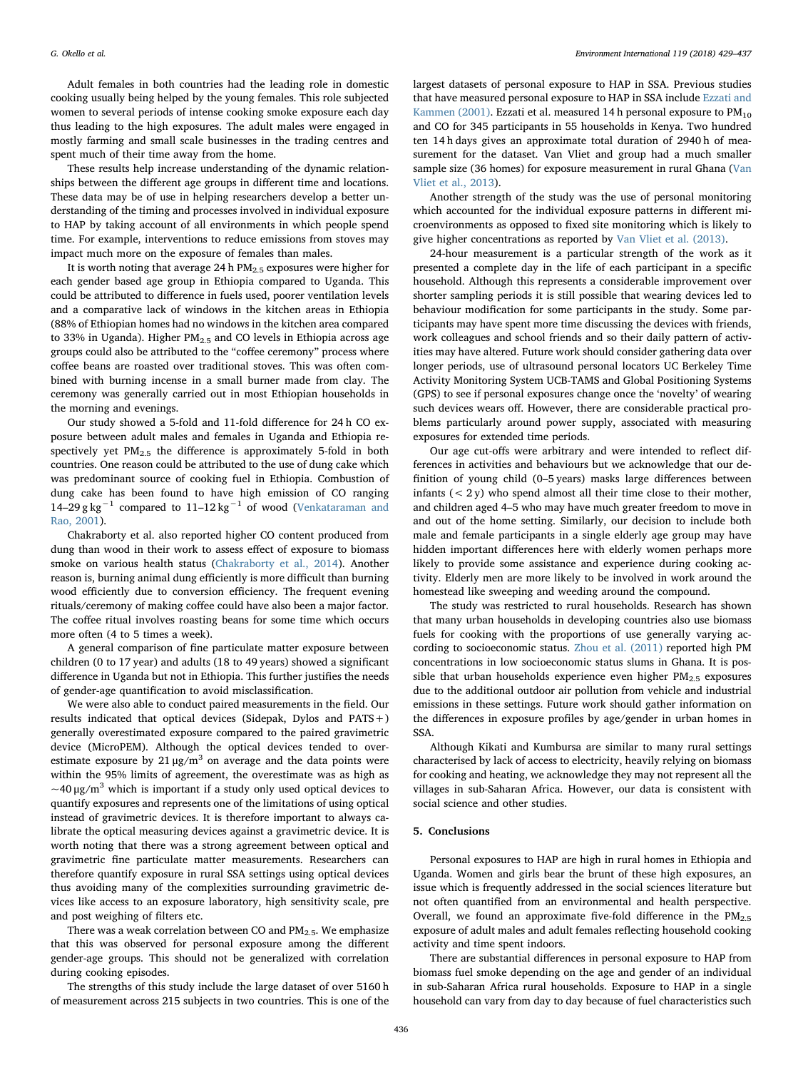Adult females in both countries had the leading role in domestic cooking usually being helped by the young females. This role subjected women to several periods of intense cooking smoke exposure each day thus leading to the high exposures. The adult males were engaged in mostly farming and small scale businesses in the trading centres and spent much of their time away from the home.

These results help increase understanding of the dynamic relationships between the different age groups in different time and locations. These data may be of use in helping researchers develop a better understanding of the timing and processes involved in individual exposure to HAP by taking account of all environments in which people spend time. For example, interventions to reduce emissions from stoves may impact much more on the exposure of females than males.

It is worth noting that average 24 h  $PM_{2.5}$  exposures were higher for each gender based age group in Ethiopia compared to Uganda. This could be attributed to difference in fuels used, poorer ventilation levels and a comparative lack of windows in the kitchen areas in Ethiopia (88% of Ethiopian homes had no windows in the kitchen area compared to 33% in Uganda). Higher  $PM<sub>2.5</sub>$  and CO levels in Ethiopia across age groups could also be attributed to the "coffee ceremony" process where coffee beans are roasted over traditional stoves. This was often combined with burning incense in a small burner made from clay. The ceremony was generally carried out in most Ethiopian households in the morning and evenings.

Our study showed a 5-fold and 11-fold difference for 24 h CO exposure between adult males and females in Uganda and Ethiopia respectively yet  $PM<sub>2.5</sub>$  the difference is approximately 5-fold in both countries. One reason could be attributed to the use of dung cake which was predominant source of cooking fuel in Ethiopia. Combustion of dung cake has been found to have high emission of CO ranging 14–29 g kg−<sup>1</sup> compared to 11–12 kg−<sup>1</sup> of wood [\(Venkataraman and](#page-8-25) [Rao, 2001\)](#page-8-25).

Chakraborty et al. also reported higher CO content produced from dung than wood in their work to assess effect of exposure to biomass smoke on various health status ([Chakraborty et al., 2014\)](#page-8-26). Another reason is, burning animal dung efficiently is more difficult than burning wood efficiently due to conversion efficiency. The frequent evening rituals/ceremony of making coffee could have also been a major factor. The coffee ritual involves roasting beans for some time which occurs more often (4 to 5 times a week).

A general comparison of fine particulate matter exposure between children (0 to 17 year) and adults (18 to 49 years) showed a significant difference in Uganda but not in Ethiopia. This further justifies the needs of gender-age quantification to avoid misclassification.

We were also able to conduct paired measurements in the field. Our results indicated that optical devices (Sidepak, Dylos and PATS+) generally overestimated exposure compared to the paired gravimetric device (MicroPEM). Although the optical devices tended to overestimate exposure by  $21 \mu g/m^3$  on average and the data points were within the 95% limits of agreement, the overestimate was as high as  $\sim$ 40 μg/m<sup>3</sup> which is important if a study only used optical devices to quantify exposures and represents one of the limitations of using optical instead of gravimetric devices. It is therefore important to always calibrate the optical measuring devices against a gravimetric device. It is worth noting that there was a strong agreement between optical and gravimetric fine particulate matter measurements. Researchers can therefore quantify exposure in rural SSA settings using optical devices thus avoiding many of the complexities surrounding gravimetric devices like access to an exposure laboratory, high sensitivity scale, pre and post weighing of filters etc.

There was a weak correlation between CO and  $PM_{2.5}$ . We emphasize that this was observed for personal exposure among the different gender-age groups. This should not be generalized with correlation during cooking episodes.

The strengths of this study include the large dataset of over 5160 h of measurement across 215 subjects in two countries. This is one of the largest datasets of personal exposure to HAP in SSA. Previous studies that have measured personal exposure to HAP in SSA include [Ezzati and](#page-8-5) [Kammen \(2001\).](#page-8-5) Ezzati et al. measured 14 h personal exposure to  $PM_{10}$ and CO for 345 participants in 55 households in Kenya. Two hundred ten 14 h days gives an approximate total duration of 2940 h of measurement for the dataset. Van Vliet and group had a much smaller sample size (36 homes) for exposure measurement in rural Ghana ([Van](#page-8-11) [Vliet et al., 2013\)](#page-8-11).

Another strength of the study was the use of personal monitoring which accounted for the individual exposure patterns in different microenvironments as opposed to fixed site monitoring which is likely to give higher concentrations as reported by [Van Vliet et al. \(2013\)](#page-8-11).

24-hour measurement is a particular strength of the work as it presented a complete day in the life of each participant in a specific household. Although this represents a considerable improvement over shorter sampling periods it is still possible that wearing devices led to behaviour modification for some participants in the study. Some participants may have spent more time discussing the devices with friends, work colleagues and school friends and so their daily pattern of activities may have altered. Future work should consider gathering data over longer periods, use of ultrasound personal locators UC Berkeley Time Activity Monitoring System UCB-TAMS and Global Positioning Systems (GPS) to see if personal exposures change once the 'novelty' of wearing such devices wears off. However, there are considerable practical problems particularly around power supply, associated with measuring exposures for extended time periods.

Our age cut-offs were arbitrary and were intended to reflect differences in activities and behaviours but we acknowledge that our definition of young child (0–5 years) masks large differences between infants  $(< 2 y)$  who spend almost all their time close to their mother, and children aged 4–5 who may have much greater freedom to move in and out of the home setting. Similarly, our decision to include both male and female participants in a single elderly age group may have hidden important differences here with elderly women perhaps more likely to provide some assistance and experience during cooking activity. Elderly men are more likely to be involved in work around the homestead like sweeping and weeding around the compound.

The study was restricted to rural households. Research has shown that many urban households in developing countries also use biomass fuels for cooking with the proportions of use generally varying according to socioeconomic status. [Zhou et al. \(2011\)](#page-8-18) reported high PM concentrations in low socioeconomic status slums in Ghana. It is possible that urban households experience even higher  $PM_{2.5}$  exposures due to the additional outdoor air pollution from vehicle and industrial emissions in these settings. Future work should gather information on the differences in exposure profiles by age/gender in urban homes in SSA.

Although Kikati and Kumbursa are similar to many rural settings characterised by lack of access to electricity, heavily relying on biomass for cooking and heating, we acknowledge they may not represent all the villages in sub-Saharan Africa. However, our data is consistent with social science and other studies.

## 5. Conclusions

Personal exposures to HAP are high in rural homes in Ethiopia and Uganda. Women and girls bear the brunt of these high exposures, an issue which is frequently addressed in the social sciences literature but not often quantified from an environmental and health perspective. Overall, we found an approximate five-fold difference in the  $PM_{2.5}$ exposure of adult males and adult females reflecting household cooking activity and time spent indoors.

There are substantial differences in personal exposure to HAP from biomass fuel smoke depending on the age and gender of an individual in sub-Saharan Africa rural households. Exposure to HAP in a single household can vary from day to day because of fuel characteristics such